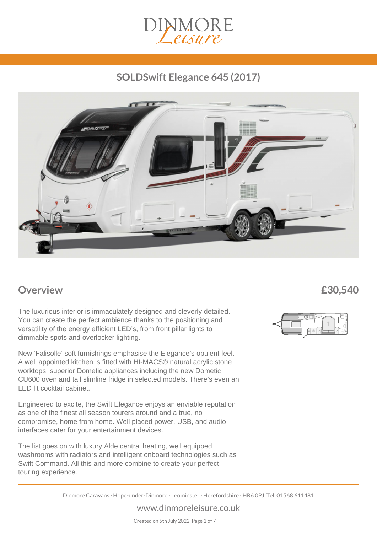

## *SOLDSwift Elegance 645 (2017)*



### *Overview £30,540*

The luxurious interior is immaculately designed and cleverly detailed. You can create the perfect ambience thanks to the positioning and versatility of the energy efficient LED's, from front pillar lights to dimmable spots and overlocker lighting.

New 'Falisolle' soft furnishings emphasise the Elegance's opulent feel. A well appointed kitchen is fitted with HI-MACS® natural acrylic stone worktops, superior Dometic appliances including the new Dometic CU600 oven and tall slimline fridge in selected models. There's even an LED lit cocktail cabinet.

Engineered to excite, the Swift Elegance enjoys an enviable reputation as one of the finest all season tourers around and a true, no compromise, home from home. Well placed power, USB, and audio interfaces cater for your entertainment devices.

The list goes on with luxury Alde central heating, well equipped washrooms with radiators and intelligent onboard technologies such as Swift Command. All this and more combine to create your perfect touring experience.



*Dinmore Caravans · Hope-under-Dinmore · Leominster · Herefordshire · HR6 0PJ Tel. 01568 611481*

*www.dinmoreleisure.co.uk*

*Created on 5th July 2022. Page 1 of 7*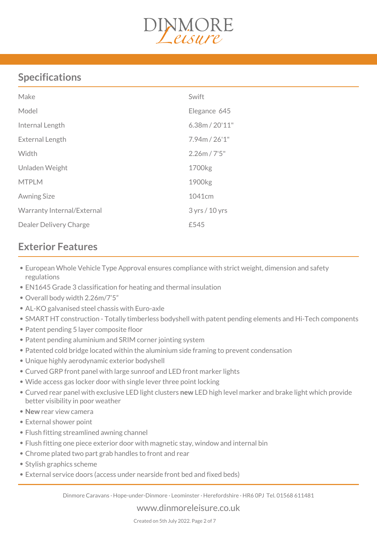

## *Specifications*

| Make                          | Swift              |
|-------------------------------|--------------------|
| Model                         | Elegance 645       |
| Internal Length               | 6.38m / 20'11''    |
| External Length               | 7.94m / 26'1"      |
| Width                         | 2.26m / 7'5"       |
| Unladen Weight                | 1700kg             |
| <b>MTPLM</b>                  | 1900 <sub>kg</sub> |
| <b>Awning Size</b>            | 1041cm             |
| Warranty Internal/External    | 3 yrs / 10 yrs     |
| <b>Dealer Delivery Charge</b> | £545               |

## *Exterior Features*

- *European Whole Vehicle Type Approval ensures compliance with strict weight, dimension and safety regulations*
- *EN1645 Grade 3 classification for heating and thermal insulation*
- *Overall body width 2.26m/7'5"*
- *AL-KO galvanised steel chassis with Euro-axle*
- *SMART HT construction Totally timberless bodyshell with patent pending elements and Hi-Tech components*
- *Patent pending 5 layer composite floor*
- *Patent pending aluminium and SRIM corner jointing system*
- *Patented cold bridge located within the aluminium side framing to prevent condensation*
- *Unique highly aerodynamic exterior bodyshell*
- *Curved GRP front panel with large sunroof and LED front marker lights*
- *Wide access gas locker door with single lever three point locking*
- *Curved rear panel with exclusive LED light clusters new LED high level marker and brake light which provide better visibility in poor weather*
- *New rear view camera*
- *External shower point*
- *Flush fitting streamlined awning channel*
- *Flush fitting one piece exterior door with magnetic stay, window and internal bin*
- *Chrome plated two part grab handles to front and rear*
- *Stylish graphics scheme*
- *External service doors (access under nearside front bed and fixed beds)*

*Dinmore Caravans · Hope-under-Dinmore · Leominster · Herefordshire · HR6 0PJ Tel. 01568 611481*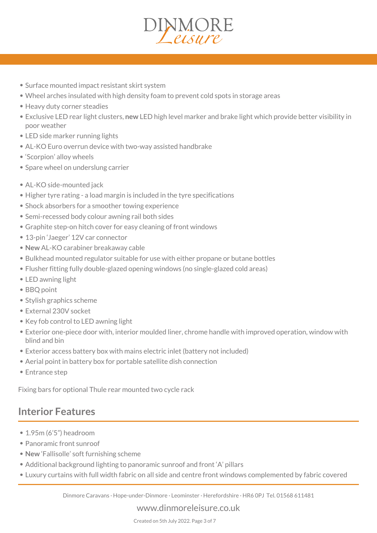- *Surface mounted impact resistant skirt system*
- *Wheel arches insulated with high density foam to prevent cold spots in storage areas*
- *Heavy duty corner steadies*
- *Exclusive LED rear light clusters, new LED high level marker and brake light which provide better visibility in poor weather*
- *LED side marker running lights*
- *AL-KO Euro overrun device with two-way assisted handbrake*
- *'Scorpion' alloy wheels*
- *Spare wheel on underslung carrier*
- *AL-KO side-mounted jack*
- *Higher tyre rating a load margin is included in the tyre specifications*
- *Shock absorbers for a smoother towing experience*
- *Semi-recessed body colour awning rail both sides*
- *Graphite step-on hitch cover for easy cleaning of front windows*
- *13-pin 'Jaeger' 12V car connector*
- *New AL-KO carabiner breakaway cable*
- *Bulkhead mounted regulator suitable for use with either propane or butane bottles*
- *Flusher fitting fully double-glazed opening windows (no single-glazed cold areas)*
- *LED awning light*
- *BBQ point*
- *Stylish graphics scheme*
- *External 230V socket*
- *Key fob control to LED awning light*
- *Exterior one-piece door with, interior moulded liner, chrome handle with improved operation, window with blind and bin*
- *Exterior access battery box with mains electric inlet (battery not included)*
- *Aerial point in battery box for portable satellite dish connection*
- *Entrance step*

*Fixing bars for optional Thule rear mounted two cycle rack*

### *Interior Features*

- *1.95m (6'5") headroom*
- *Panoramic front sunroof*
- *New 'Fallisolle' soft furnishing scheme*
- *Additional background lighting to panoramic sunroof and front 'A' pillars*
- *Luxury curtains with full width fabric on all side and centre front windows complemented by fabric covered*

*Dinmore Caravans · Hope-under-Dinmore · Leominster · Herefordshire · HR6 0PJ Tel. 01568 611481*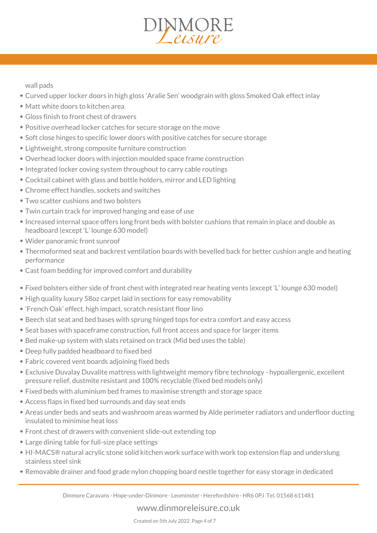#### *wall pads*

- *Curved upper locker doors in high gloss 'Aralie Sen' woodgrain with gloss Smoked Oak effect inlay*
- *Matt white doors to kitchen area*
- *Gloss finish to front chest of drawers*
- *Positive overhead locker catches for secure storage on the move*
- *Soft close hinges to specific lower doors with positive catches for secure storage*
- *Lightweight, strong composite furniture construction*
- *Overhead locker doors with injection moulded space frame construction*
- *Integrated locker coving system throughout to carry cable routings*
- *Cocktail cabinet with glass and bottle holders, mirror and LED lighting*
- *Chrome effect handles, sockets and switches*
- *Two scatter cushions and two bolsters*
- *Twin curtain track for improved hanging and ease of use*
- *Increased internal space offers long front beds with bolster cushions that remain in place and double as headboard (except 'L' lounge 630 model)*
- *Wider panoramic front sunroof*
- *Thermoformed seat and backrest ventilation boards with bevelled back for better cushion angle and heating performance*
- *Cast foam bedding for improved comfort and durability*
- *Fixed bolsters either side of front chest with integrated rear heating vents (except 'L' lounge 630 model)*
- *High quality luxury 58oz carpet laid in sections for easy removability*
- *'French Oak' effect, high impact, scratch resistant floor lino*
- *Beech slat seat and bed bases with sprung hinged tops for extra comfort and easy access*
- *Seat bases with spaceframe construction, full front access and space for larger items*
- *Bed make-up system with slats retained on track (Mid bed uses the table)*
- *Deep fully padded headboard to fixed bed*
- *Fabric covered vent boards adjoining fixed beds*
- *Exclusive Duvalay Duvalite mattress with lightweight memory fibre technology hypoallergenic, excellent pressure relief, dustmite resistant and 100% recyclable (fixed bed models only)*
- *Fixed beds with aluminium bed frames to maximise strength and storage space*
- *Access flaps in fixed bed surrounds and day seat ends*
- *Areas under beds and seats and washroom areas warmed by Alde perimeter radiators and underfloor ducting insulated to minimise heat loss*
- *Front chest of drawers with convenient slide-out extending top*
- *Large dining table for full-size place settings*
- *HI-MACS® natural acrylic stone solid kitchen work surface with work top extension flap and underslung stainless steel sink*
- *Removable drainer and food grade nylon chopping board nestle together for easy storage in dedicated*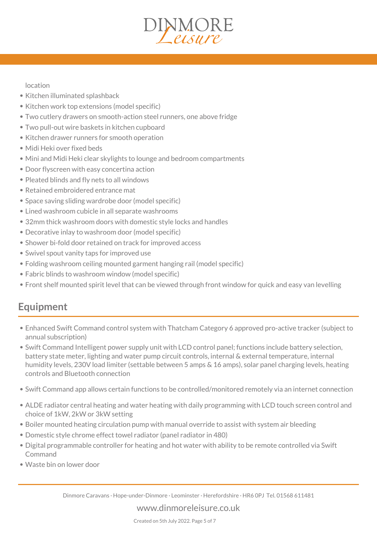### *location*

- *Kitchen illuminated splashback*
- *Kitchen work top extensions (model specific)*
- *Two cutlery drawers on smooth-action steel runners, one above fridge*
- *Two pull-out wire baskets in kitchen cupboard*
- *Kitchen drawer runners for smooth operation*
- *Midi Heki over fixed beds*
- *Mini and Midi Heki clear skylights to lounge and bedroom compartments*
- *Door flyscreen with easy concertina action*
- *Pleated blinds and fly nets to all windows*
- *Retained embroidered entrance mat*
- *Space saving sliding wardrobe door (model specific)*
- *Lined washroom cubicle in all separate washrooms*
- *32mm thick washroom doors with domestic style locks and handles*
- *Decorative inlay to washroom door (model specific)*
- *Shower bi-fold door retained on track for improved access*
- *Swivel spout vanity taps for improved use*
- *Folding washroom ceiling mounted garment hanging rail (model specific)*
- *Fabric blinds to washroom window (model specific)*
- *Front shelf mounted spirit level that can be viewed through front window for quick and easy van levelling*

## *Equipment*

- *Enhanced Swift Command control system with Thatcham Category 6 approved pro-active tracker (subject to annual subscription)*
- *Swift Command Intelligent power supply unit with LCD control panel; functions include battery selection, battery state meter, lighting and water pump circuit controls, internal & external temperature, internal humidity levels, 230V load limiter (settable between 5 amps & 16 amps), solar panel charging levels, heating controls and Bluetooth connection*
- *Swift Command app allows certain functions to be controlled/monitored remotely via an internet connection*
- *ALDE radiator central heating and water heating with daily programming with LCD touch screen control and choice of 1kW, 2kW or 3kW setting*
- *Boiler mounted heating circulation pump with manual override to assist with system air bleeding*
- *Domestic style chrome effect towel radiator (panel radiator in 480)*
- *Digital programmable controller for heating and hot water with ability to be remote controlled via Swift Command*
- *Waste bin on lower door*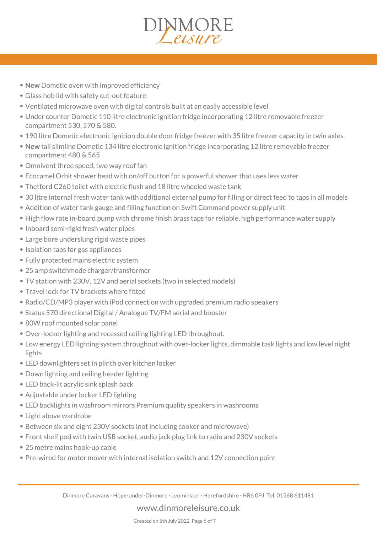- *New Dometic oven with improved efficiency*
- *Glass hob lid with safety cut-out feature*
- *Ventilated microwave oven with digital controls built at an easily accessible level*
- *Under counter Dometic 110 litre electronic ignition fridge incorporating 12 litre removable freezer compartment 530, 570 & 580.*
- *190 litre Dometic electronic ignition double door fridge freezer with 35 litre freezer capacity in twin axles.*
- *New tall slimline Dometic 134 litre electronic ignition fridge incorporating 12 litre removable freezer compartment 480 & 565*
- *Omnivent three speed, two way roof fan*
- *Ecocamel Orbit shower head with on/off button for a powerful shower that uses less water*
- *Thetford C260 toilet with electric flush and 18 litre wheeled waste tank*
- *30 litre internal fresh water tank with additional external pump for filling or direct feed to taps in all models*
- *Addition of water tank gauge and filling function on Swift Command power supply unit*
- *High flow rate in-board pump with chrome finish brass taps for reliable, high performance water supply*
- *Inboard semi-rigid fresh water pipes*
- *Large bore underslung rigid waste pipes*
- *Isolation taps for gas appliances*
- *Fully protected mains electric system*
- *25 amp switchmode charger/transformer*
- *TV station with 230V, 12V and aerial sockets (two in selected models)*
- *Travel lock for TV brackets where fitted*
- *Radio/CD/MP3 player with iPod connection with upgraded premium radio speakers*
- *Status 570 directional Digital / Analogue TV/FM aerial and booster*
- *80W roof mounted solar panel*
- *Over-locker lighting and recessed ceiling lighting LED throughout.*
- *Low energy LED lighting system throughout with over-locker lights, dimmable task lights and low level night lights*
- *LED downlighters set in plinth over kitchen locker*
- *Down lighting and ceiling header lighting*
- *LED back-lit acrylic sink splash back*
- *Adjustable under locker LED lighting*
- *LED backlights in washroom mirrors Premium quality speakers in washrooms*
- *Light above wardrobe*
- *Between six and eight 230V sockets (not including cooker and microwave)*
- *Front shelf pod with twin USB socket, audio jack plug link to radio and 230V sockets*
- *25 metre mains hook-up cable*
- *Pre-wired for motor mover with internal isolation switch and 12V connection point*